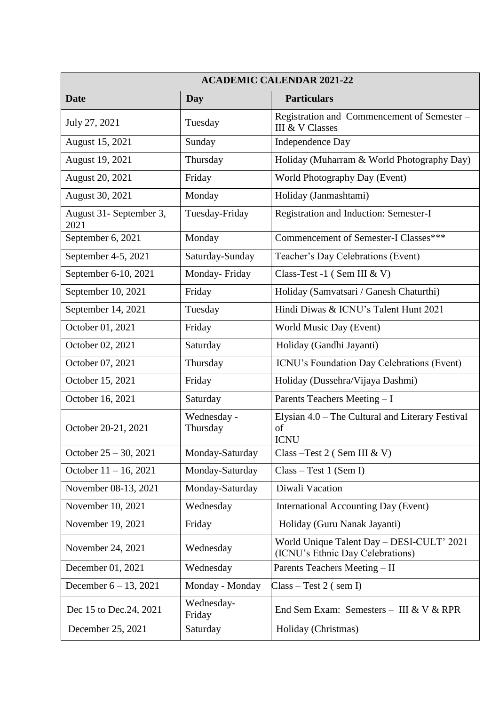| <b>ACADEMIC CALENDAR 2021-22</b> |                         |                                                                               |  |
|----------------------------------|-------------------------|-------------------------------------------------------------------------------|--|
| <b>Date</b>                      | Day                     | <b>Particulars</b>                                                            |  |
| July 27, 2021                    | Tuesday                 | Registration and Commencement of Semester –<br>III & V Classes                |  |
| August 15, 2021                  | Sunday                  | Independence Day                                                              |  |
| August 19, 2021                  | Thursday                | Holiday (Muharram & World Photography Day)                                    |  |
| August 20, 2021                  | Friday                  | World Photography Day (Event)                                                 |  |
| August 30, 2021                  | Monday                  | Holiday (Janmashtami)                                                         |  |
| August 31- September 3,<br>2021  | Tuesday-Friday          | Registration and Induction: Semester-I                                        |  |
| September 6, 2021                | Monday                  | Commencement of Semester-I Classes***                                         |  |
| September 4-5, 2021              | Saturday-Sunday         | Teacher's Day Celebrations (Event)                                            |  |
| September 6-10, 2021             | Monday-Friday           | Class-Test -1 (Sem III & V)                                                   |  |
| September 10, 2021               | Friday                  | Holiday (Samvatsari / Ganesh Chaturthi)                                       |  |
| September 14, 2021               | Tuesday                 | Hindi Diwas & ICNU's Talent Hunt 2021                                         |  |
| October 01, 2021                 | Friday                  | World Music Day (Event)                                                       |  |
| October 02, 2021                 | Saturday                | Holiday (Gandhi Jayanti)                                                      |  |
| October 07, 2021                 | Thursday                | ICNU's Foundation Day Celebrations (Event)                                    |  |
| October 15, 2021                 | Friday                  | Holiday (Dussehra/Vijaya Dashmi)                                              |  |
| October 16, 2021                 | Saturday                | Parents Teachers Meeting - I                                                  |  |
| October 20-21, 2021              | Wednesday -<br>Thursday | Elysian 4.0 – The Cultural and Literary Festival<br>of<br><b>ICNU</b>         |  |
| October $25 - 30$ , 2021         | Monday-Saturday         | Class $-Test\,2$ (Sem III & V)                                                |  |
| October $11 - 16$ , 2021         | Monday-Saturday         | $Class - Test 1 (Sem I)$                                                      |  |
| November 08-13, 2021             | Monday-Saturday         | Diwali Vacation                                                               |  |
| November 10, 2021                | Wednesday               | International Accounting Day (Event)                                          |  |
| November 19, 2021                | Friday                  | Holiday (Guru Nanak Jayanti)                                                  |  |
| November 24, 2021                | Wednesday               | World Unique Talent Day - DESI-CULT' 2021<br>(ICNU's Ethnic Day Celebrations) |  |
| December 01, 2021                | Wednesday               | Parents Teachers Meeting - II                                                 |  |
| December $6 - 13$ , 2021         | Monday - Monday         | $Class - Test\ 2$ (sem I)                                                     |  |
| Dec 15 to Dec. 24, 2021          | Wednesday-<br>Friday    | End Sem Exam: Semesters - III & V & RPR                                       |  |
| December 25, 2021                | Saturday                | Holiday (Christmas)                                                           |  |